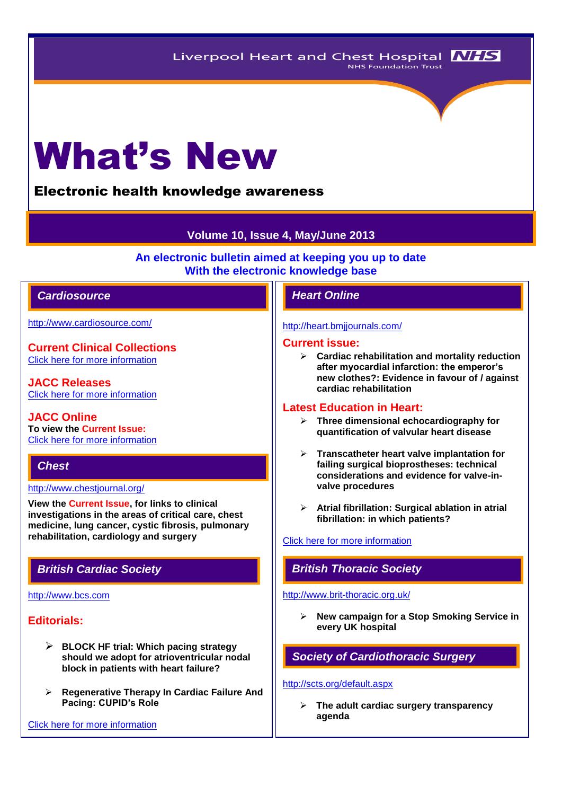# What's New

# Electronic health knowledge awareness

# **Volume 10, Issue 4, May/June 2013**

**An electronic bulletin aimed at keeping you up to date With the electronic knowledge base**

# *Cardiosource Heart Online*

<http://www.cardiosource.com/>

**Current Clinical Collections** [Click here for more information](http://www.cardiosource.org/science-and-quality/clinical-collections.aspx)

**JACC Releases** [Click here for more information](http://www.cardiosource.org/news-media/media-center/jacc-releases.aspx)

**JACC Online To view the Current Issue:** [Click here for more information](http://content.onlinejacc.org/current.dtl)

# *Chest*

#### <http://www.chestjournal.org/>

**View the Current Issue, for links to clinical investigations in the areas of critical care, chest medicine, lung cancer, cystic fibrosis, pulmonary rehabilitation, cardiology and surgery**

#### [http://www.bcs.com](http://www.bcs.com/)

# **Editorials:**

- **BLOCK HF trial: Which pacing strategy should we adopt for atrioventricular nodal block in patients with heart failure?**
- **Regenerative Therapy In Cardiac Failure And Pacing: CUPID's Role**

[Click here for more information](http://www.bcs.com/editorial/editorial.asp)

#### <http://heart.bmjjournals.com/>

#### **Current issue:**

 **Cardiac rehabilitation and mortality reduction after myocardial infarction: the emperor's new clothes?: Evidence in favour of / against cardiac rehabilitation**

#### **Latest Education in Heart:**

- **Three dimensional echocardiography for quantification of valvular heart disease**
- **Transcatheter heart valve implantation for failing surgical bioprostheses: technical considerations and evidence for valve-invalve procedures**
- **Atrial fibrillation: Surgical ablation in atrial fibrillation: in which patients?**

#### [Click here for more information](http://heart.bmj.com/site/about/education.xhtml)

## *British Cardiac Society British Thoracic Society*

#### <http://www.brit-thoracic.org.uk/>

 **New campaign for a Stop Smoking Service in every UK hospital** 

*Society of Cardiothoracic Surgery* 

#### <http://scts.org/default.aspx>

 **The adult cardiac surgery transparency agenda**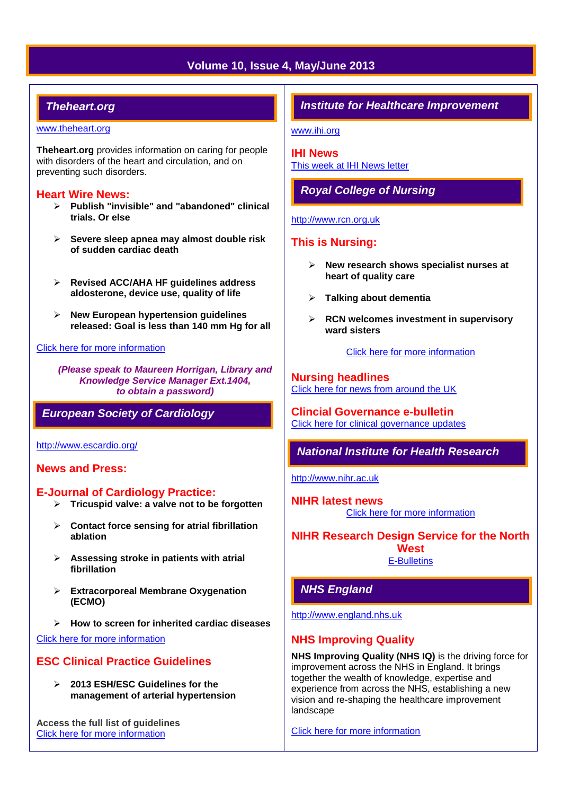# **Volume 10, Issue 4, May/June 2013**

# *Theheart.org*

#### [www.theheart.org](http://www.theheart.org/)

**Theheart.org** provides information on caring for people with disorders of the heart and circulation, and on preventing such disorders.

## **Heart Wire News:**

- **Publish "invisible" and "abandoned" clinical trials. Or else**
- **Severe sleep apnea may almost double risk of sudden cardiac death**
- **Revised ACC/AHA HF guidelines address aldosterone, device use, quality of life**
- **New European hypertension guidelines released: Goal is less than 140 mm Hg for all**

#### [Click here for more information](http://www.theheart.org/section/heartwire.do)

*(Please speak to Maureen Horrigan, Library and Knowledge Service Manager Ext.1404, to obtain a password)*

*European Society of Cardiology*

<http://www.escardio.org/>

# **News and Press:**

#### **E-Journal of Cardiology Practice:**

- **Tricuspid valve: a valve not to be forgotten**
- **Contact force sensing for atrial fibrillation ablation**
- **Assessing stroke in patients with atrial fibrillation**
- **Extracorporeal Membrane Oxygenation (ECMO)**
- **How to screen for inherited cardiac diseases**

[Click here for more information](http://www.escardio.org/communities/councils/ccp/e-journal/volume11/Pages/welcome.aspx)

# **ESC Clinical Practice Guidelines**

 **2013 ESH/ESC Guidelines for the management of arterial hypertension**

**Access the full list of guidelines**  [Click here for more information](http://www.escardio.org/guidelines-surveys/esc-guidelines/Pages/GuidelinesList.aspx)

# *Institute for Healthcare Improvement*

[www.ihi.org](http://www.ihi.org/)

**IHI News**  [This week at IHI News letter](http://www.ihi.org/Documents/ThisWeekatIHI.htm) 

*Royal College of Nursing*

#### [http://www.rcn.org.uk](http://www.rcn.org.uk/)

# **This is Nursing:**

- **New research shows specialist nurses at heart of quality care**
- **Talking about dementia**
- **RCN welcomes investment in supervisory ward sisters**

[Click here for more information](http://thisisnursing.rcn.org.uk/members/)

**Nursing headlines** [Click here for news from around the UK](http://www.rcn.org.uk/newsevents/news)

**Clincial Governance e-bulletin** [Click here for clinical governance updates](http://www.rcn.org.uk/development/practice/clinical_governance/quality_and_safety_e-bulletin/e-bulletin_archive)

# *National Institute for Health Research*

[http://www.nihr.ac.uk](http://www.nihr.ac.uk/)

**NIHR latest news** [Click here for more information](http://www.nihr.ac.uk/news/Pages/default.aspx)

**NIHR Research Design Service for the North West** [E-Bulletins](http://www.rds-nw.nihr.ac.uk/newstrainingevents/ebulletin.php)

[http://www.england.nhs.uk](http://www.england.nhs.uk/)

*NHS England*

# **NHS Improving Quality**

**NHS Improving Quality (NHS IQ)** is the driving force for improvement across the NHS in England. It brings together the wealth of knowledge, expertise and experience from across the NHS, establishing a new vision and re-shaping the healthcare improvement landscape

[Click here for more information](http://www.england.nhs.uk/ourwork/qual-clin-lead/nhsiq/)